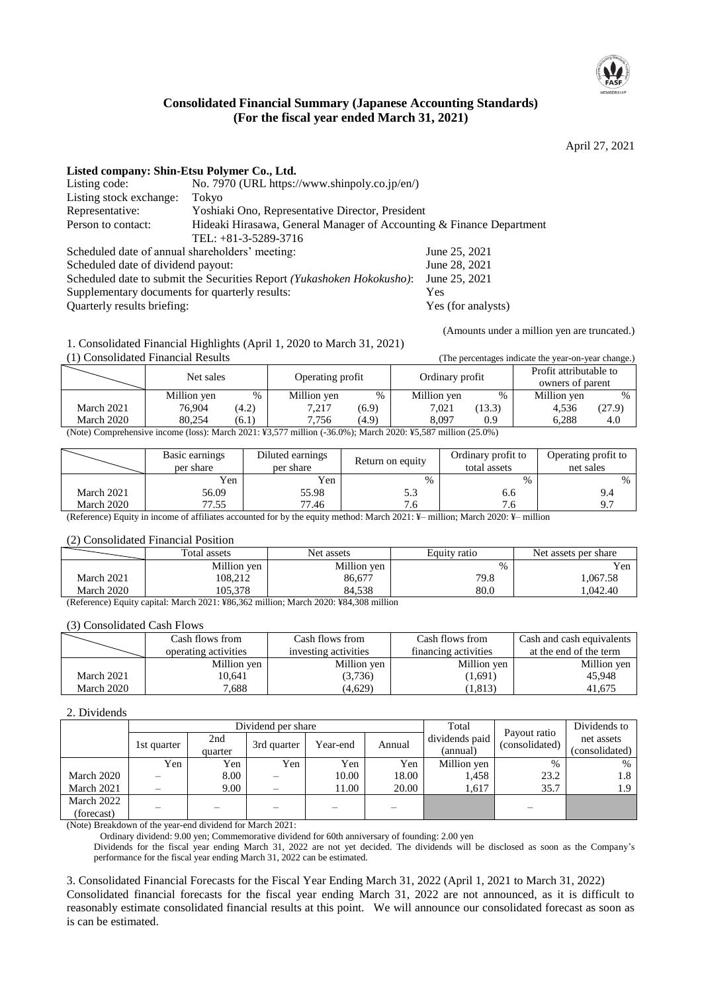

## **Consolidated Financial Summary (Japanese Accounting Standards) (For the fiscal year ended March 31, 2021)**

April 27, 2021

|  | Listed company: Shin-Etsu Polymer Co., Ltd. |
|--|---------------------------------------------|
|  | $\pi$                                       |

| Listing code:                                                          | No. 7970 (URL https://www.shinpoly.co.jp/en/)                        |               |
|------------------------------------------------------------------------|----------------------------------------------------------------------|---------------|
| Listing stock exchange:                                                | Tokyo                                                                |               |
| Representative:                                                        | Yoshiaki Ono, Representative Director, President                     |               |
| Person to contact:                                                     | Hideaki Hirasawa, General Manager of Accounting & Finance Department |               |
|                                                                        | TEL: $+81-3-5289-3716$                                               |               |
| Scheduled date of annual shareholders' meeting:                        |                                                                      | June 25, 2021 |
| Scheduled date of dividend payout:                                     |                                                                      | June 28, 2021 |
| Scheduled date to submit the Securities Report (Yukashoken Hokokusho): | June 25, 2021                                                        |               |
| Supplementary documents for quarterly results:                         | <b>Yes</b>                                                           |               |
| Quarterly results briefing:                                            | Yes (for analysts)                                                   |               |

(Amounts under a million yen are truncated.)

1. Consolidated Financial Highlights (April 1, 2020 to March 31, 2021)

| (1) Consolidated Financial Results<br>(The percentages indicate the year-on-year change.)                   |             |       |                  |       |                 |        |                        |        |
|-------------------------------------------------------------------------------------------------------------|-------------|-------|------------------|-------|-----------------|--------|------------------------|--------|
|                                                                                                             | Net sales   |       | Operating profit |       | Ordinary profit |        | Profit attributable to |        |
|                                                                                                             |             |       |                  |       |                 |        | owners of parent       |        |
|                                                                                                             | Million yen | $\%$  | Million yen      | $\%$  | Million yen     | %      | Million yen            | $\%$   |
| March 2021                                                                                                  | 76.904      | (4.2) | 7.217            | (6.9) | 7.021           | (13.3) | 4.536                  | (27.9) |
| March 2020                                                                                                  | 80.254      | (6.1) | 7.756            | (4.9) | 8.097           | 0.9    | 6.288                  | 4.0    |
| (Note) Comprehensive income (loss): March 2021: ¥3,577 million (-36.0%); March 2020: ¥5,587 million (25.0%) |             |       |                  |       |                 |        |                        |        |

|            | Basic earnings<br>per share | Diluted earnings<br>per share | Return on equity | Ordinary profit to<br>total assets | Operating profit to<br>net sales |
|------------|-----------------------------|-------------------------------|------------------|------------------------------------|----------------------------------|
|            | Yen                         | Yen                           | $\%$             | $\frac{0}{0}$                      | $\%$                             |
| March 2021 | 56.09                       | 55.98                         | ن. ر             | 0.0                                |                                  |
| March 2020 | 77.55                       | 77.46                         |                  | 0. /                               |                                  |

(Reference) Equity in income of affiliates accounted for by the equity method: March 2021: ¥– million; March 2020: ¥– million

#### (2) Consolidated Financial Position

|            | Total assets | Net assets  | Equity ratio | Net assets per share |
|------------|--------------|-------------|--------------|----------------------|
|            | Million yen  | Million yen | $\%$         | Yen                  |
| March 2021 | 108,212      | 86,677      | 79.8         | .067.58              |
| March 2020 | 105.378      | 84.538      | 80.0         | .042.40              |

(Reference) Equity capital: March 2021: ¥86,362 million; March 2020: ¥84,308 million

#### (3) Consolidated Cash Flows

|            | Cash flows from      | Cash flows from      | Cash flows from      | Cash and cash equivalents |
|------------|----------------------|----------------------|----------------------|---------------------------|
|            | operating activities | investing activities | financing activities | at the end of the term    |
|            | Million yen          | Million yen          | Million yen          | Million yen               |
| March 2021 | 10,641               | (3,736)              | (1,691)              | 45,948                    |
| March 2020 | 7,688                | (4,629)              | (1, 813)             | 41.675                    |

#### 2. Dividends

|            |                 |                | Dividend per share | Total    | Payout ratio | Dividends to               |                |                              |
|------------|-----------------|----------------|--------------------|----------|--------------|----------------------------|----------------|------------------------------|
|            | 1st quarter     | 2nd<br>quarter | 3rd quarter        | Year-end | Annual       | dividends paid<br>(annual) | (consolidated) | net assets<br>(consolidated) |
|            | Yen             | Yen            | Yen                | Yen      | Yen          | Million yen                | $\%$           | $\%$                         |
| March 2020 |                 | 8.00           |                    | 10.00    | 18.00        | 1,458                      | 23.2           | 1.8                          |
| March 2021 | $\qquad \qquad$ | 9.00           |                    | 11.00    | 20.00        | 1.617                      | 35.7           | 1.9                          |
| March 2022 |                 |                |                    |          |              |                            |                |                              |
| (forecast) |                 |                |                    |          |              |                            |                |                              |

(Note) Breakdown of the year-end dividend for March 2021:

Ordinary dividend: 9.00 yen; Commemorative dividend for 60th anniversary of founding: 2.00 yen

Dividends for the fiscal year ending March 31, 2022 are not yet decided. The dividends will be disclosed as soon as the Company's performance for the fiscal year ending March 31, 2022 can be estimated.

3. Consolidated Financial Forecasts for the Fiscal Year Ending March 31, 2022 (April 1, 2021 to March 31, 2022)

Consolidated financial forecasts for the fiscal year ending March 31, 2022 are not announced, as it is difficult to reasonably estimate consolidated financial results at this point. We will announce our consolidated forecast as soon as is can be estimated.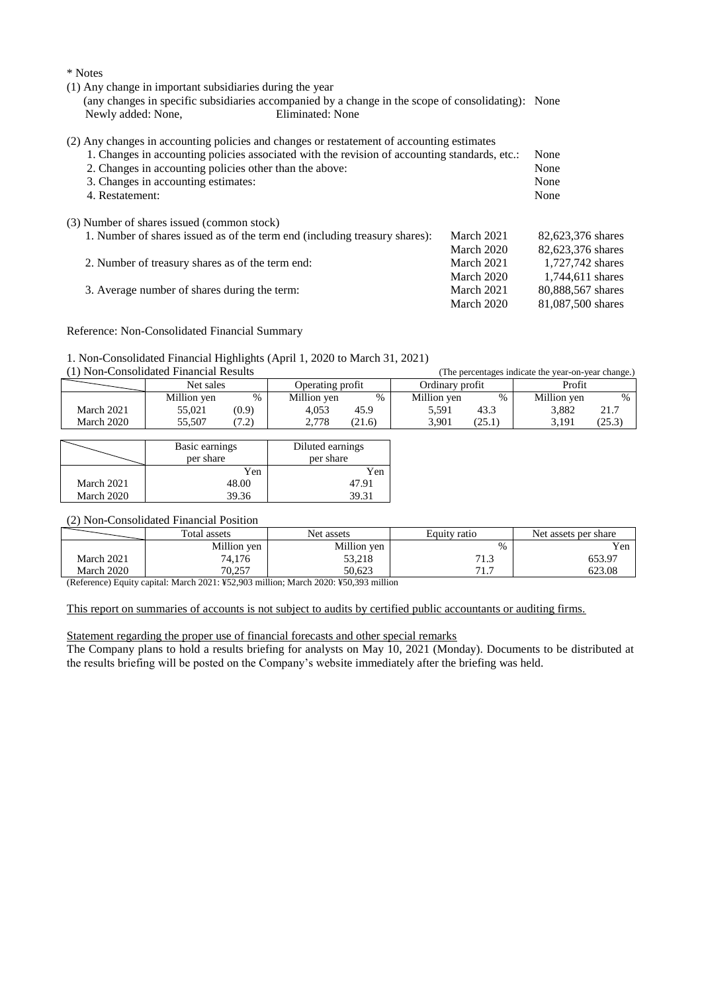\* Notes

(1) Any change in important subsidiaries during the year

(any changes in specific subsidiaries accompanied by a change in the scope of consolidating): None Newly added: None,

(2) Any changes in accounting policies and changes or restatement of accounting estimates

| 1. Changes in accounting policies associated with the revision of accounting standards, etc.: |            | None              |
|-----------------------------------------------------------------------------------------------|------------|-------------------|
| 2. Changes in accounting policies other than the above:                                       | None       |                   |
| 3. Changes in accounting estimates:                                                           | None       |                   |
| 4. Restatement:                                                                               | None       |                   |
| (3) Number of shares issued (common stock)                                                    |            |                   |
| 1. Number of shares issued as of the term end (including treasury shares):                    | March 2021 | 82,623,376 shares |
|                                                                                               | March 2020 | 82,623,376 shares |
| 2. Number of treasury shares as of the term end:                                              | March 2021 | 1.727.742 shares  |
|                                                                                               | March 2020 | 1,744,611 shares  |
| 3. Average number of shares during the term:                                                  | March 2021 | 80,888,567 shares |
|                                                                                               | March 2020 | 81,087,500 shares |

Reference: Non-Consolidated Financial Summary

#### 1. Non-Consolidated Financial Highlights (April 1, 2020 to March 31, 2021)

(1) Non-Consolidated Financial Results (The percentages indicate the year-on-year change.)

|            | Net sales   |                                       | Operating profit |        | Ordinarv profit |                   | Profit           |         |
|------------|-------------|---------------------------------------|------------------|--------|-----------------|-------------------|------------------|---------|
|            | Million yen | $\frac{0}{0}$                         | Million yen      | $\%$   | Million yen     | %                 | Million yen      |         |
| March 2021 | 55.021      | (0.9)                                 | 4.053            | 45.9   | 5.591           | د.43              | 3.882            | 21.7    |
| March 2020 | 55.507      | $\bigcap$<br>$\overline{\phantom{0}}$ | 2.778            | (21.6) | 3.901           | $\gamma$<br>ه د ب | 3 1 9 1<br>J.IJI | ر. رے ا |

|            | Basic earnings<br>per share | Diluted earnings<br>per share |
|------------|-----------------------------|-------------------------------|
|            | Yen                         | Yen                           |
| March 2021 | 48.00                       | 47.91                         |
| March 2020 | 39.36                       | 39.31                         |

#### (2) Non-Consolidated Financial Position

|            | Net assets<br>Total assets |             | Equity ratio             | Net assets per share |  |
|------------|----------------------------|-------------|--------------------------|----------------------|--|
|            | Million yen                | Million yen | $\%$                     | Yen                  |  |
| March 2021 | 74,176                     | 53,218      | 71'<br>ن د               | 653.97               |  |
| March 2020 | 70.257                     | 50.623      | $71 -$<br>$\mathbf{1}$ . | 623.08               |  |

(Reference) Equity capital: March 2021: ¥52,903 million; March 2020: ¥50,393 million

#### This report on summaries of accounts is not subject to audits by certified public accountants or auditing firms.

#### Statement regarding the proper use of financial forecasts and other special remarks

The Company plans to hold a results briefing for analysts on May 10, 2021 (Monday). Documents to be distributed at the results briefing will be posted on the Company's website immediately after the briefing was held.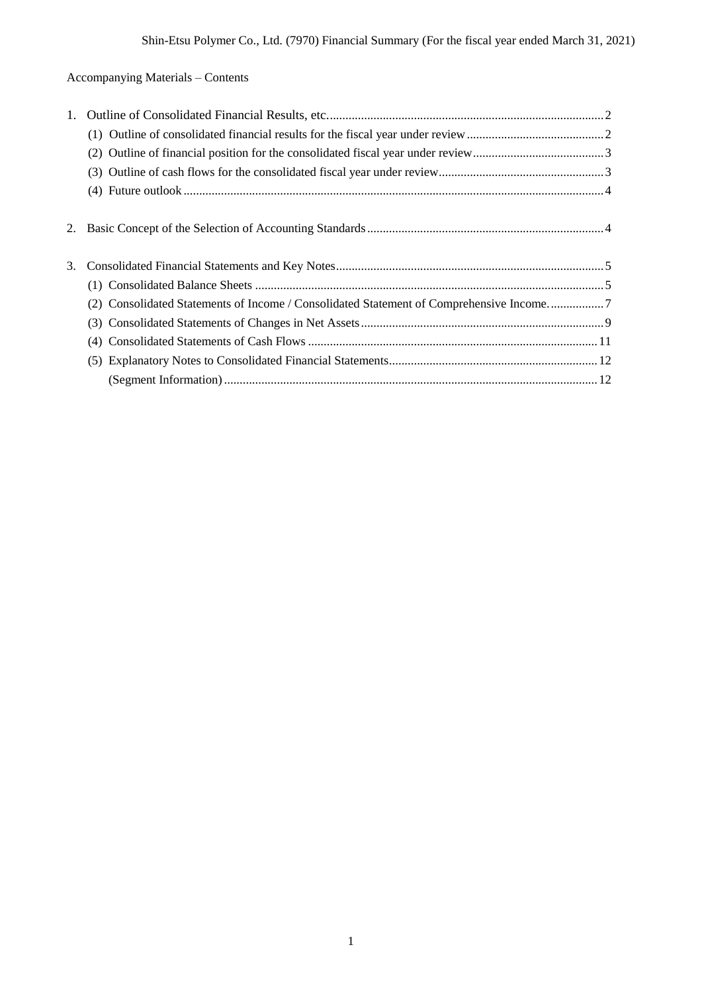Accompanying Materials – Contents

| 2. |                                                                                         |
|----|-----------------------------------------------------------------------------------------|
|    |                                                                                         |
| 3. |                                                                                         |
|    |                                                                                         |
|    | (2) Consolidated Statements of Income / Consolidated Statement of Comprehensive Income7 |
|    |                                                                                         |
|    |                                                                                         |
|    |                                                                                         |
|    |                                                                                         |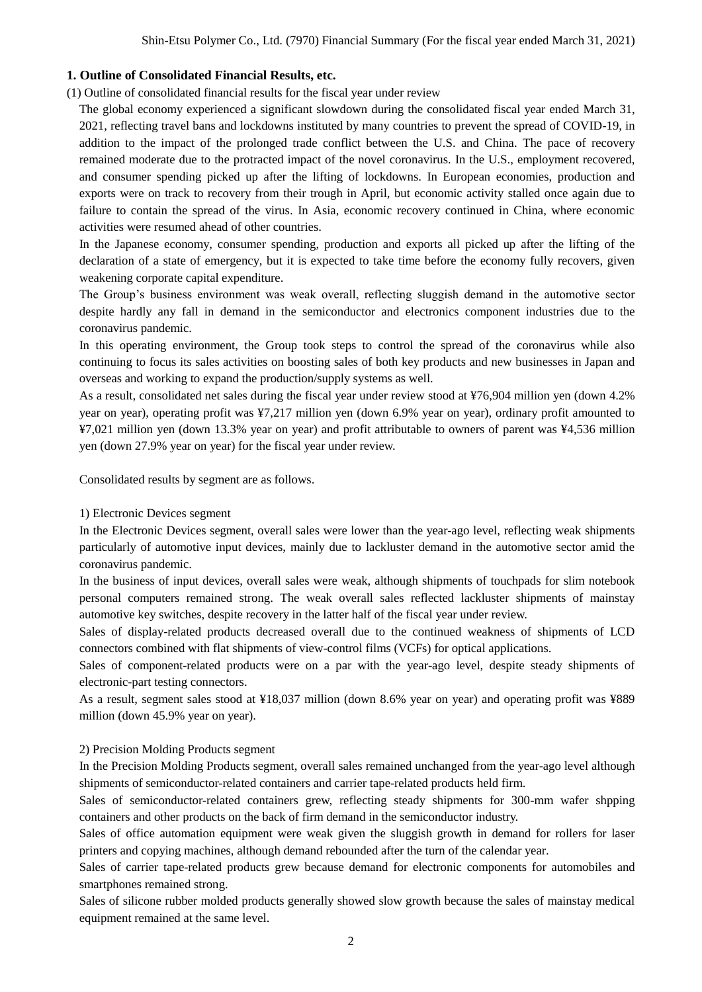## **1. Outline of Consolidated Financial Results, etc.**

(1) Outline of consolidated financial results for the fiscal year under review

The global economy experienced a significant slowdown during the consolidated fiscal year ended March 31, 2021, reflecting travel bans and lockdowns instituted by many countries to prevent the spread of COVID-19, in addition to the impact of the prolonged trade conflict between the U.S. and China. The pace of recovery remained moderate due to the protracted impact of the novel coronavirus. In the U.S., employment recovered, and consumer spending picked up after the lifting of lockdowns. In European economies, production and exports were on track to recovery from their trough in April, but economic activity stalled once again due to failure to contain the spread of the virus. In Asia, economic recovery continued in China, where economic activities were resumed ahead of other countries.

In the Japanese economy, consumer spending, production and exports all picked up after the lifting of the declaration of a state of emergency, but it is expected to take time before the economy fully recovers, given weakening corporate capital expenditure.

The Group's business environment was weak overall, reflecting sluggish demand in the automotive sector despite hardly any fall in demand in the semiconductor and electronics component industries due to the coronavirus pandemic.

In this operating environment, the Group took steps to control the spread of the coronavirus while also continuing to focus its sales activities on boosting sales of both key products and new businesses in Japan and overseas and working to expand the production/supply systems as well.

As a result, consolidated net sales during the fiscal year under review stood at ¥76,904 million yen (down 4.2% year on year), operating profit was ¥7,217 million yen (down 6.9% year on year), ordinary profit amounted to ¥7,021 million yen (down 13.3% year on year) and profit attributable to owners of parent was ¥4,536 million yen (down 27.9% year on year) for the fiscal year under review.

Consolidated results by segment are as follows.

#### 1) Electronic Devices segment

In the Electronic Devices segment, overall sales were lower than the year-ago level, reflecting weak shipments particularly of automotive input devices, mainly due to lackluster demand in the automotive sector amid the coronavirus pandemic.

In the business of input devices, overall sales were weak, although shipments of touchpads for slim notebook personal computers remained strong. The weak overall sales reflected lackluster shipments of mainstay automotive key switches, despite recovery in the latter half of the fiscal year under review.

Sales of display-related products decreased overall due to the continued weakness of shipments of LCD connectors combined with flat shipments of view-control films (VCFs) for optical applications.

Sales of component-related products were on a par with the year-ago level, despite steady shipments of electronic-part testing connectors.

As a result, segment sales stood at ¥18,037 million (down 8.6% year on year) and operating profit was ¥889 million (down 45.9% year on year).

#### 2) Precision Molding Products segment

In the Precision Molding Products segment, overall sales remained unchanged from the year-ago level although shipments of semiconductor-related containers and carrier tape-related products held firm.

Sales of semiconductor-related containers grew, reflecting steady shipments for 300-mm wafer shpping containers and other products on the back of firm demand in the semiconductor industry.

Sales of office automation equipment were weak given the sluggish growth in demand for rollers for laser printers and copying machines, although demand rebounded after the turn of the calendar year.

Sales of carrier tape-related products grew because demand for electronic components for automobiles and smartphones remained strong.

Sales of silicone rubber molded products generally showed slow growth because the sales of mainstay medical equipment remained at the same level.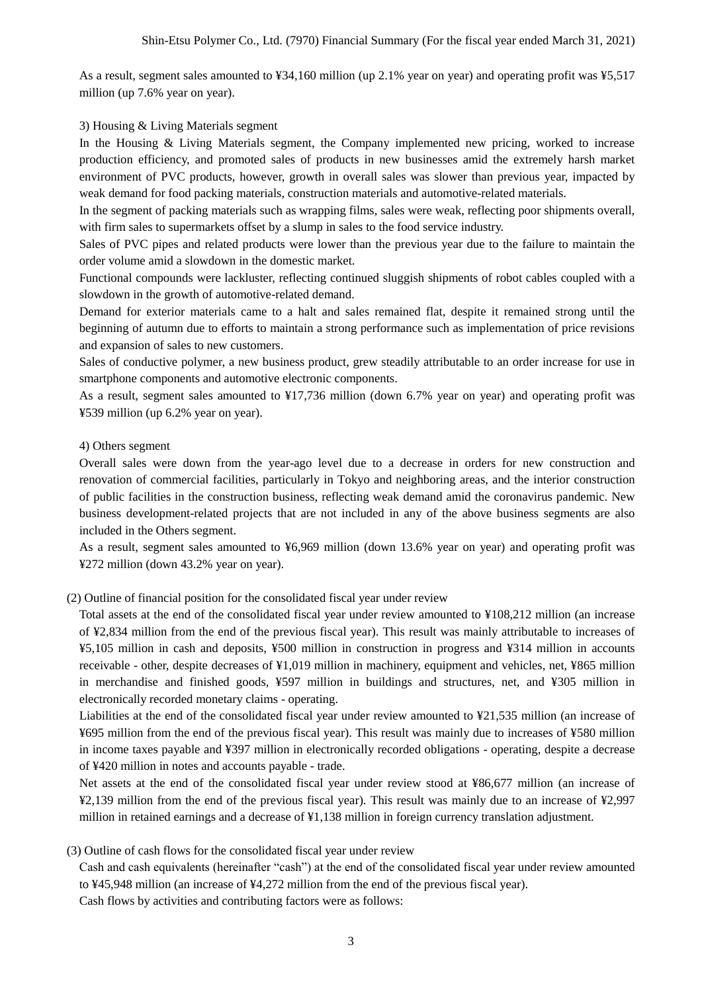As a result, segment sales amounted to ¥34,160 million (up 2.1% year on year) and operating profit was ¥5,517 million (up 7.6% year on year).

#### 3) Housing & Living Materials segment

In the Housing & Living Materials segment, the Company implemented new pricing, worked to increase production efficiency, and promoted sales of products in new businesses amid the extremely harsh market environment of PVC products, however, growth in overall sales was slower than previous year, impacted by weak demand for food packing materials, construction materials and automotive-related materials.

In the segment of packing materials such as wrapping films, sales were weak, reflecting poor shipments overall, with firm sales to supermarkets offset by a slump in sales to the food service industry.

Sales of PVC pipes and related products were lower than the previous year due to the failure to maintain the order volume amid a slowdown in the domestic market.

Functional compounds were lackluster, reflecting continued sluggish shipments of robot cables coupled with a slowdown in the growth of automotive-related demand.

Demand for exterior materials came to a halt and sales remained flat, despite it remained strong until the beginning of autumn due to efforts to maintain a strong performance such as implementation of price revisions and expansion of sales to new customers.

Sales of conductive polymer, a new business product, grew steadily attributable to an order increase for use in smartphone components and automotive electronic components.

As a result, segment sales amounted to ¥17,736 million (down 6.7% year on year) and operating profit was ¥539 million (up 6.2% year on year).

## 4) Others segment

Overall sales were down from the year-ago level due to a decrease in orders for new construction and renovation of commercial facilities, particularly in Tokyo and neighboring areas, and the interior construction of public facilities in the construction business, reflecting weak demand amid the coronavirus pandemic. New business development-related projects that are not included in any of the above business segments are also included in the Others segment.

As a result, segment sales amounted to ¥6,969 million (down 13.6% year on year) and operating profit was ¥272 million (down 43.2% year on year).

(2) Outline of financial position for the consolidated fiscal year under review

Total assets at the end of the consolidated fiscal year under review amounted to ¥108,212 million (an increase of ¥2,834 million from the end of the previous fiscal year). This result was mainly attributable to increases of ¥5,105 million in cash and deposits, ¥500 million in construction in progress and ¥314 million in accounts receivable - other, despite decreases of ¥1,019 million in machinery, equipment and vehicles, net, ¥865 million in merchandise and finished goods, ¥597 million in buildings and structures, net, and ¥305 million in electronically recorded monetary claims - operating.

Liabilities at the end of the consolidated fiscal year under review amounted to ¥21,535 million (an increase of ¥695 million from the end of the previous fiscal year). This result was mainly due to increases of ¥580 million in income taxes payable and ¥397 million in electronically recorded obligations - operating, despite a decrease of ¥420 million in notes and accounts payable - trade.

Net assets at the end of the consolidated fiscal year under review stood at ¥86,677 million (an increase of ¥2,139 million from the end of the previous fiscal year). This result was mainly due to an increase of ¥2,997 million in retained earnings and a decrease of ¥1,138 million in foreign currency translation adjustment.

## (3) Outline of cash flows for the consolidated fiscal year under review

Cash and cash equivalents (hereinafter "cash") at the end of the consolidated fiscal year under review amounted to ¥45,948 million (an increase of ¥4,272 million from the end of the previous fiscal year). Cash flows by activities and contributing factors were as follows: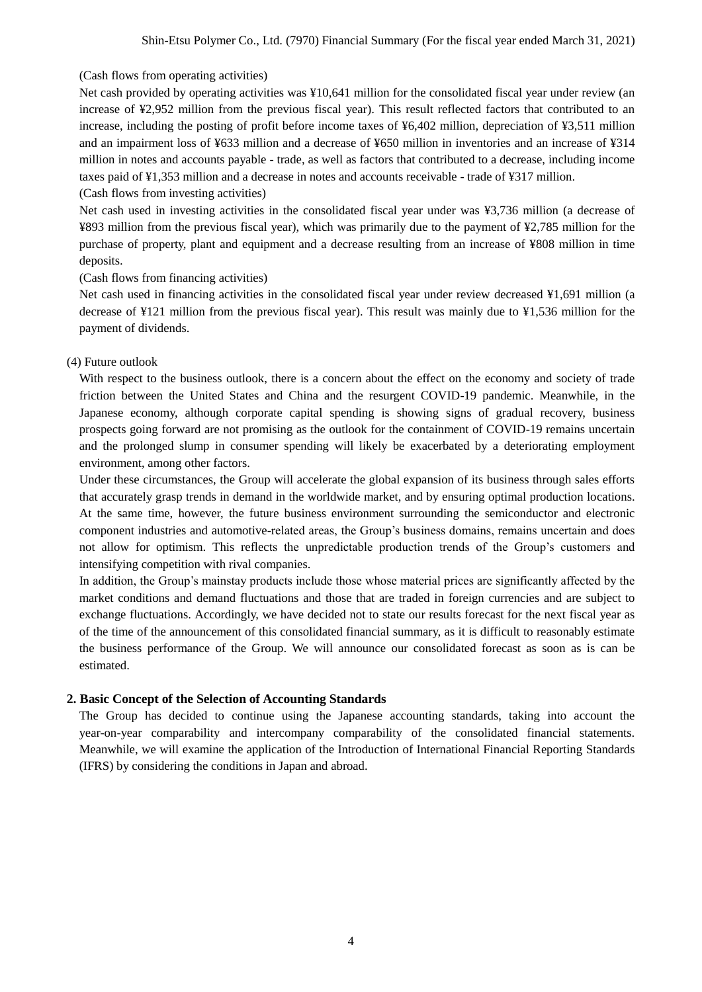## (Cash flows from operating activities)

Net cash provided by operating activities was ¥10,641 million for the consolidated fiscal year under review (an increase of ¥2,952 million from the previous fiscal year). This result reflected factors that contributed to an increase, including the posting of profit before income taxes of ¥6,402 million, depreciation of ¥3,511 million and an impairment loss of ¥633 million and a decrease of ¥650 million in inventories and an increase of ¥314 million in notes and accounts payable - trade, as well as factors that contributed to a decrease, including income taxes paid of ¥1,353 million and a decrease in notes and accounts receivable - trade of ¥317 million.

(Cash flows from investing activities)

Net cash used in investing activities in the consolidated fiscal year under was ¥3,736 million (a decrease of ¥893 million from the previous fiscal year), which was primarily due to the payment of ¥2,785 million for the purchase of property, plant and equipment and a decrease resulting from an increase of ¥808 million in time deposits.

#### (Cash flows from financing activities)

Net cash used in financing activities in the consolidated fiscal year under review decreased ¥1,691 million (a decrease of ¥121 million from the previous fiscal year). This result was mainly due to ¥1,536 million for the payment of dividends.

#### (4) Future outlook

With respect to the business outlook, there is a concern about the effect on the economy and society of trade friction between the United States and China and the resurgent COVID-19 pandemic. Meanwhile, in the Japanese economy, although corporate capital spending is showing signs of gradual recovery, business prospects going forward are not promising as the outlook for the containment of COVID-19 remains uncertain and the prolonged slump in consumer spending will likely be exacerbated by a deteriorating employment environment, among other factors.

Under these circumstances, the Group will accelerate the global expansion of its business through sales efforts that accurately grasp trends in demand in the worldwide market, and by ensuring optimal production locations. At the same time, however, the future business environment surrounding the semiconductor and electronic component industries and automotive-related areas, the Group's business domains, remains uncertain and does not allow for optimism. This reflects the unpredictable production trends of the Group's customers and intensifying competition with rival companies.

In addition, the Group's mainstay products include those whose material prices are significantly affected by the market conditions and demand fluctuations and those that are traded in foreign currencies and are subject to exchange fluctuations. Accordingly, we have decided not to state our results forecast for the next fiscal year as of the time of the announcement of this consolidated financial summary, as it is difficult to reasonably estimate the business performance of the Group. We will announce our consolidated forecast as soon as is can be estimated.

## **2. Basic Concept of the Selection of Accounting Standards**

The Group has decided to continue using the Japanese accounting standards, taking into account the year-on-year comparability and intercompany comparability of the consolidated financial statements. Meanwhile, we will examine the application of the Introduction of International Financial Reporting Standards (IFRS) by considering the conditions in Japan and abroad.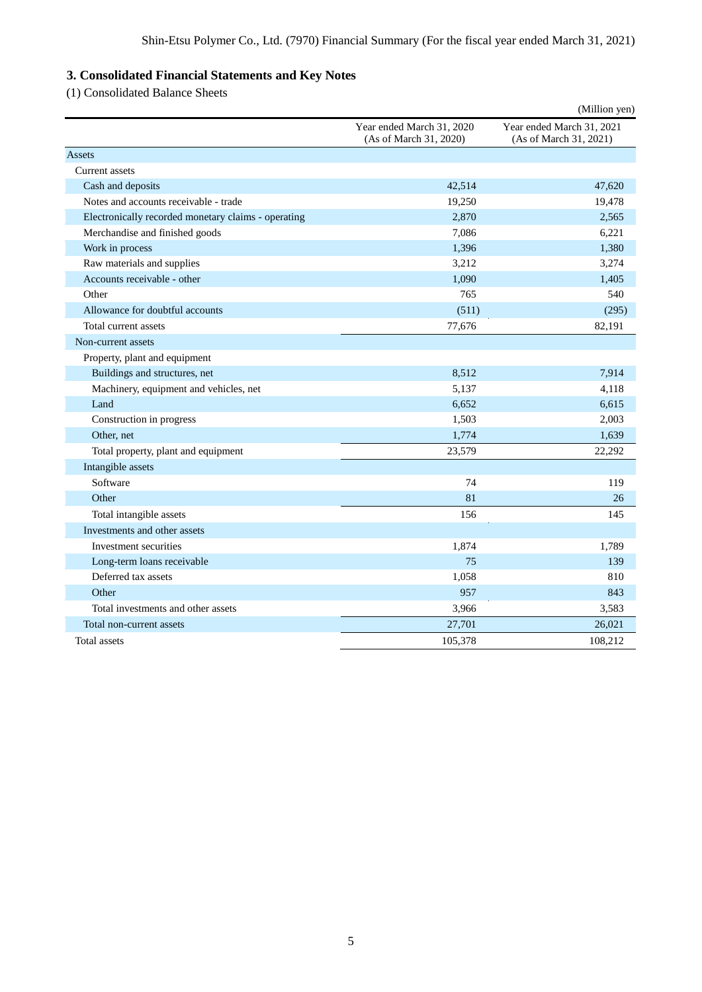# **3. Consolidated Financial Statements and Key Notes**

(1) Consolidated Balance Sheets

|                                                     |                                                     | (Million yen)                                       |
|-----------------------------------------------------|-----------------------------------------------------|-----------------------------------------------------|
|                                                     | Year ended March 31, 2020<br>(As of March 31, 2020) | Year ended March 31, 2021<br>(As of March 31, 2021) |
| Assets                                              |                                                     |                                                     |
| <b>Current</b> assets                               |                                                     |                                                     |
| Cash and deposits                                   | 42,514                                              | 47,620                                              |
| Notes and accounts receivable - trade               | 19,250                                              | 19,478                                              |
| Electronically recorded monetary claims - operating | 2,870                                               | 2,565                                               |
| Merchandise and finished goods                      | 7,086                                               | 6,221                                               |
| Work in process                                     | 1,396                                               | 1,380                                               |
| Raw materials and supplies                          | 3,212                                               | 3,274                                               |
| Accounts receivable - other                         | 1,090                                               | 1,405                                               |
| Other                                               | 765                                                 | 540                                                 |
| Allowance for doubtful accounts                     | (511)                                               | (295)                                               |
| Total current assets                                | 77,676                                              | 82,191                                              |
| Non-current assets                                  |                                                     |                                                     |
| Property, plant and equipment                       |                                                     |                                                     |
| Buildings and structures, net                       | 8,512                                               | 7,914                                               |
| Machinery, equipment and vehicles, net              | 5,137                                               | 4,118                                               |
| Land                                                | 6,652                                               | 6,615                                               |
| Construction in progress                            | 1,503                                               | 2,003                                               |
| Other, net                                          | 1,774                                               | 1,639                                               |
| Total property, plant and equipment                 | 23,579                                              | 22,292                                              |
| Intangible assets                                   |                                                     |                                                     |
| Software                                            | 74                                                  | 119                                                 |
| Other                                               | 81                                                  | 26                                                  |
| Total intangible assets                             | 156                                                 | 145                                                 |
| Investments and other assets                        |                                                     |                                                     |
| Investment securities                               | 1,874                                               | 1,789                                               |
| Long-term loans receivable                          | 75                                                  | 139                                                 |
| Deferred tax assets                                 | 1,058                                               | 810                                                 |
| Other                                               | 957                                                 | 843                                                 |
| Total investments and other assets                  | 3,966                                               | 3,583                                               |
| Total non-current assets                            | 27,701                                              | 26,021                                              |
| Total assets                                        | 105,378                                             | 108,212                                             |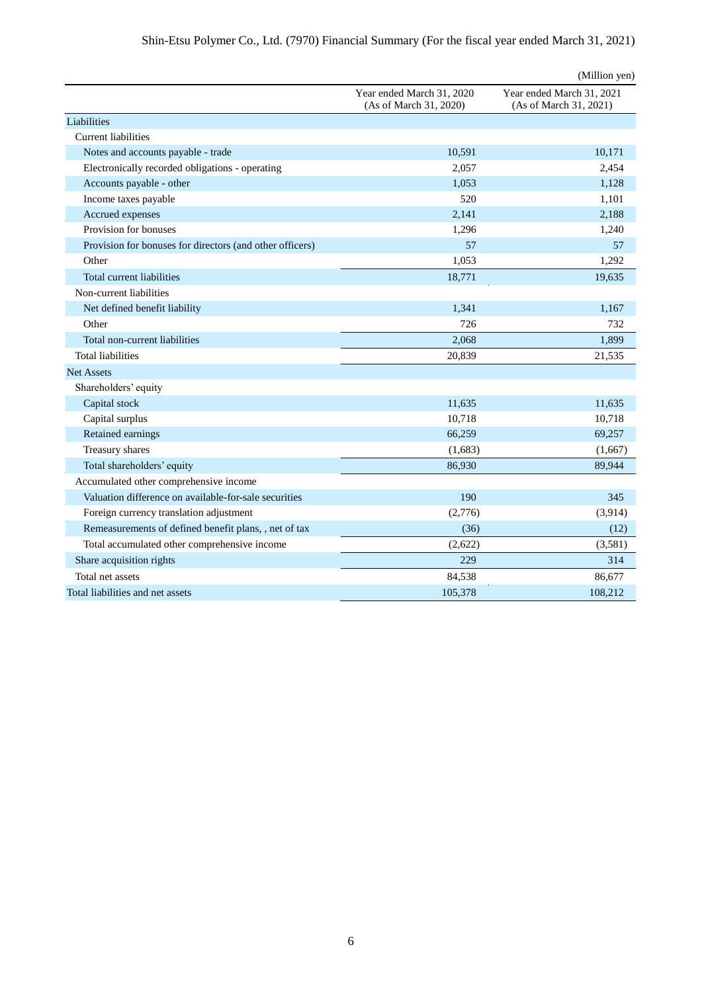|                                                          |                                                     | (Million yen)                                       |
|----------------------------------------------------------|-----------------------------------------------------|-----------------------------------------------------|
|                                                          | Year ended March 31, 2020<br>(As of March 31, 2020) | Year ended March 31, 2021<br>(As of March 31, 2021) |
| Liabilities                                              |                                                     |                                                     |
| Current liabilities                                      |                                                     |                                                     |
| Notes and accounts payable - trade                       | 10,591                                              | 10,171                                              |
| Electronically recorded obligations - operating          | 2,057                                               | 2,454                                               |
| Accounts payable - other                                 | 1,053                                               | 1,128                                               |
| Income taxes payable                                     | 520                                                 | 1,101                                               |
| Accrued expenses                                         | 2,141                                               | 2,188                                               |
| Provision for bonuses                                    | 1,296                                               | 1,240                                               |
| Provision for bonuses for directors (and other officers) | 57                                                  | 57                                                  |
| Other                                                    | 1,053                                               | 1,292                                               |
| Total current liabilities                                | 18,771                                              | 19,635                                              |
| Non-current liabilities                                  |                                                     |                                                     |
| Net defined benefit liability                            | 1,341                                               | 1,167                                               |
| Other                                                    | 726                                                 | 732                                                 |
| Total non-current liabilities                            | 2,068                                               | 1,899                                               |
| <b>Total liabilities</b>                                 | 20,839                                              | 21,535                                              |
| <b>Net Assets</b>                                        |                                                     |                                                     |
| Shareholders' equity                                     |                                                     |                                                     |
| Capital stock                                            | 11,635                                              | 11,635                                              |
| Capital surplus                                          | 10,718                                              | 10,718                                              |
| Retained earnings                                        | 66,259                                              | 69,257                                              |
| Treasury shares                                          | (1,683)                                             | (1,667)                                             |
| Total shareholders' equity                               | 86,930                                              | 89,944                                              |
| Accumulated other comprehensive income                   |                                                     |                                                     |
| Valuation difference on available-for-sale securities    | 190                                                 | 345                                                 |
| Foreign currency translation adjustment                  | (2,776)                                             | (3,914)                                             |
| Remeasurements of defined benefit plans, , net of tax    | (36)                                                | (12)                                                |
| Total accumulated other comprehensive income             | (2,622)                                             | (3,581)                                             |
| Share acquisition rights                                 | 229                                                 | 314                                                 |
| Total net assets                                         | 84,538                                              | 86,677                                              |
| Total liabilities and net assets                         | 105,378                                             | 108,212                                             |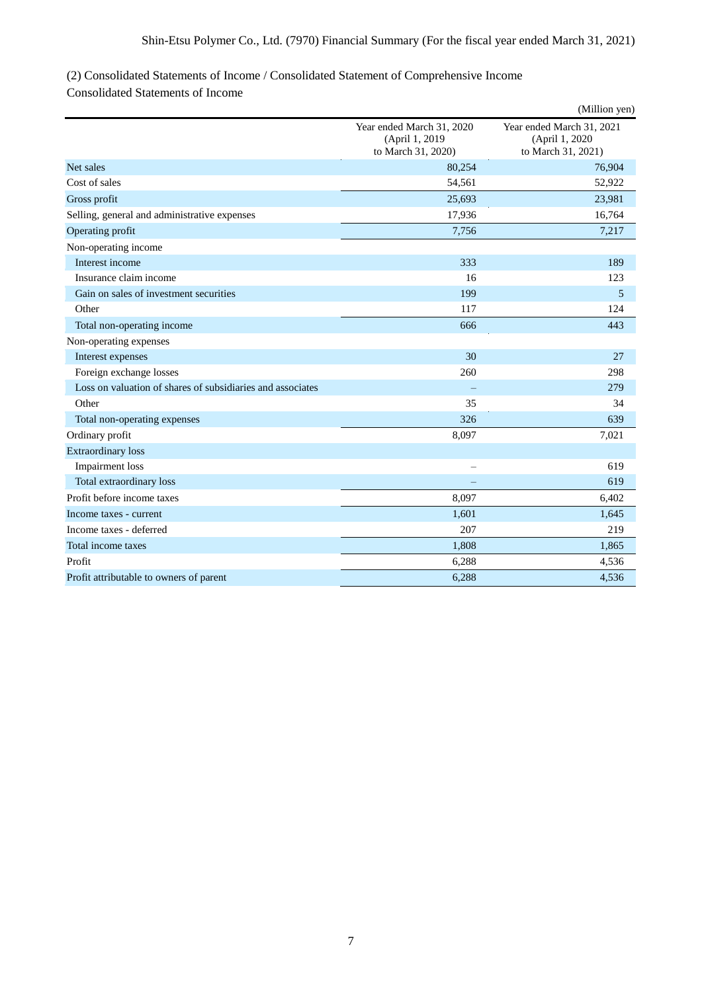# (2) Consolidated Statements of Income / Consolidated Statement of Comprehensive Income

Consolidated Statements of Income

|                                                            |                                                                    | (Million yen)                                                      |
|------------------------------------------------------------|--------------------------------------------------------------------|--------------------------------------------------------------------|
|                                                            | Year ended March 31, 2020<br>(April 1, 2019)<br>to March 31, 2020) | Year ended March 31, 2021<br>(April 1, 2020)<br>to March 31, 2021) |
| Net sales                                                  | 80,254                                                             | 76,904                                                             |
| Cost of sales                                              | 54,561                                                             | 52,922                                                             |
| Gross profit                                               | 25,693                                                             | 23,981                                                             |
| Selling, general and administrative expenses               | 17,936                                                             | 16,764                                                             |
| Operating profit                                           | 7,756                                                              | 7,217                                                              |
| Non-operating income                                       |                                                                    |                                                                    |
| Interest income                                            | 333                                                                | 189                                                                |
| Insurance claim income                                     | 16                                                                 | 123                                                                |
| Gain on sales of investment securities                     | 199                                                                | 5                                                                  |
| Other                                                      | 117                                                                | 124                                                                |
| Total non-operating income                                 | 666                                                                | 443                                                                |
| Non-operating expenses                                     |                                                                    |                                                                    |
| Interest expenses                                          | 30                                                                 | 27                                                                 |
| Foreign exchange losses                                    | 260                                                                | 298                                                                |
| Loss on valuation of shares of subsidiaries and associates |                                                                    | 279                                                                |
| Other                                                      | 35                                                                 | 34                                                                 |
| Total non-operating expenses                               | 326                                                                | 639                                                                |
| Ordinary profit                                            | 8,097                                                              | 7,021                                                              |
| <b>Extraordinary</b> loss                                  |                                                                    |                                                                    |
| <b>Impairment</b> loss                                     | $\overline{\phantom{0}}$                                           | 619                                                                |
| Total extraordinary loss                                   |                                                                    | 619                                                                |
| Profit before income taxes                                 | 8,097                                                              | 6,402                                                              |
| Income taxes - current                                     | 1,601                                                              | 1,645                                                              |
| Income taxes - deferred                                    | 207                                                                | 219                                                                |
| Total income taxes                                         | 1,808                                                              | 1,865                                                              |
| Profit                                                     | 6,288                                                              | 4,536                                                              |
| Profit attributable to owners of parent                    | 6,288                                                              | 4,536                                                              |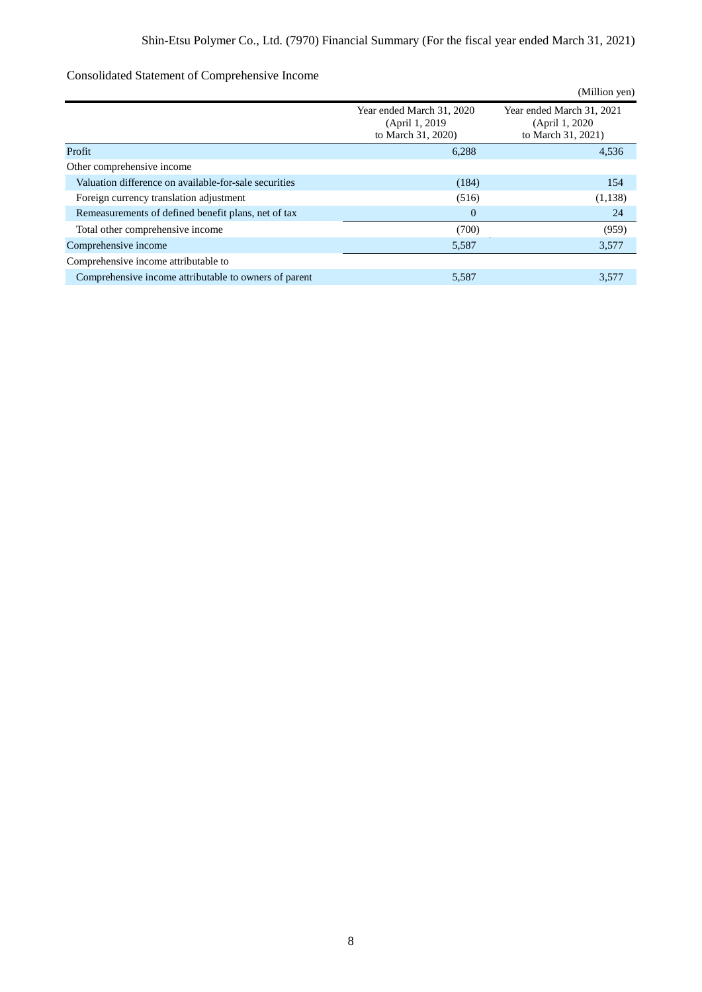# Consolidated Statement of Comprehensive Income

|                                                       |                                                                    | (Million yen)                                                      |
|-------------------------------------------------------|--------------------------------------------------------------------|--------------------------------------------------------------------|
|                                                       | Year ended March 31, 2020<br>(April 1, 2019)<br>to March 31, 2020) | Year ended March 31, 2021<br>(April 1, 2020)<br>to March 31, 2021) |
| Profit                                                | 6,288                                                              | 4,536                                                              |
| Other comprehensive income                            |                                                                    |                                                                    |
| Valuation difference on available-for-sale securities | (184)                                                              | 154                                                                |
| Foreign currency translation adjustment               | (516)                                                              | (1,138)                                                            |
| Remeasurements of defined benefit plans, net of tax   | $\overline{0}$                                                     | 24                                                                 |
| Total other comprehensive income                      | (700)                                                              | (959)                                                              |
| Comprehensive income                                  | 5,587                                                              | 3,577                                                              |
| Comprehensive income attributable to                  |                                                                    |                                                                    |
| Comprehensive income attributable to owners of parent | 5,587                                                              | 3,577                                                              |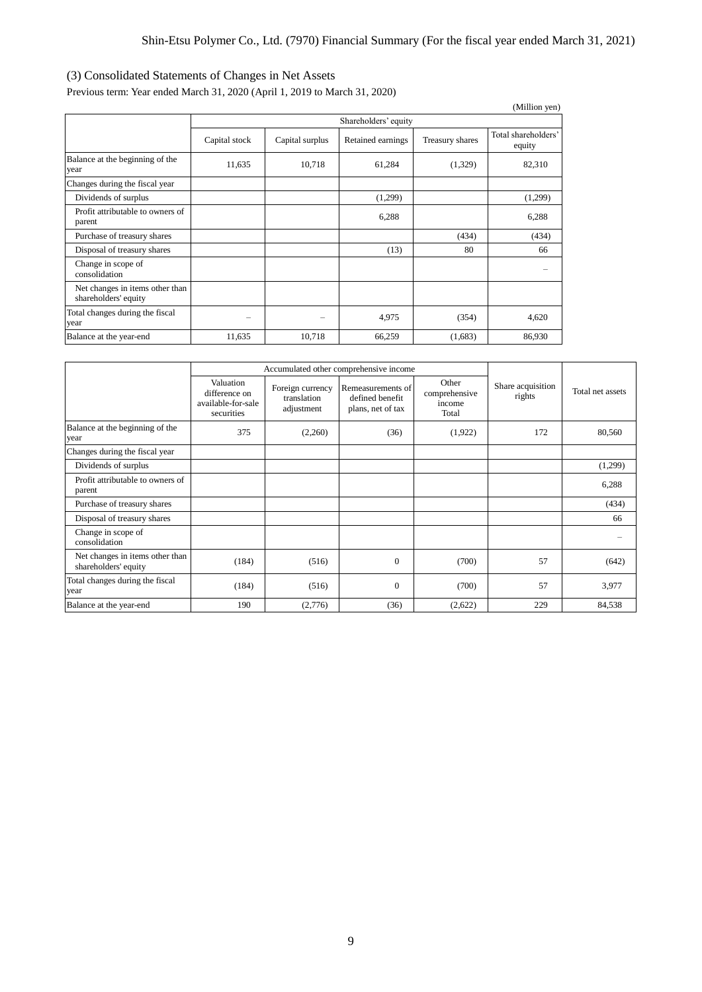# (3) Consolidated Statements of Changes in Net Assets

Previous term: Year ended March 31, 2020 (April 1, 2019 to March 31, 2020)

|                                                         |               |                      |                   |                 | (Million yen)                 |  |  |  |
|---------------------------------------------------------|---------------|----------------------|-------------------|-----------------|-------------------------------|--|--|--|
|                                                         |               | Shareholders' equity |                   |                 |                               |  |  |  |
|                                                         | Capital stock | Capital surplus      | Retained earnings | Treasury shares | Total shareholders'<br>equity |  |  |  |
| Balance at the beginning of the<br>year                 | 11,635        | 10,718               | 61,284            | (1,329)         | 82,310                        |  |  |  |
| Changes during the fiscal year                          |               |                      |                   |                 |                               |  |  |  |
| Dividends of surplus                                    |               |                      | (1,299)           |                 | (1,299)                       |  |  |  |
| Profit attributable to owners of<br>parent              |               |                      | 6,288             |                 | 6,288                         |  |  |  |
| Purchase of treasury shares                             |               |                      |                   | (434)           | (434)                         |  |  |  |
| Disposal of treasury shares                             |               |                      | (13)              | 80              | 66                            |  |  |  |
| Change in scope of<br>consolidation                     |               |                      |                   |                 |                               |  |  |  |
| Net changes in items other than<br>shareholders' equity |               |                      |                   |                 |                               |  |  |  |
| Total changes during the fiscal<br>year                 |               |                      | 4,975             | (354)           | 4,620                         |  |  |  |
| Balance at the year-end                                 | 11,635        | 10,718               | 66,259            | (1,683)         | 86,930                        |  |  |  |

|                                                         |                                                                | Accumulated other comprehensive income        |                                                           |                                           |                             |                  |
|---------------------------------------------------------|----------------------------------------------------------------|-----------------------------------------------|-----------------------------------------------------------|-------------------------------------------|-----------------------------|------------------|
|                                                         | Valuation<br>difference on<br>available-for-sale<br>securities | Foreign currency<br>translation<br>adjustment | Remeasurements of<br>defined benefit<br>plans, net of tax | Other<br>comprehensive<br>income<br>Total | Share acquisition<br>rights | Total net assets |
| Balance at the beginning of the<br>year                 | 375                                                            | (2,260)                                       | (36)                                                      | (1,922)                                   | 172                         | 80,560           |
| Changes during the fiscal year                          |                                                                |                                               |                                                           |                                           |                             |                  |
| Dividends of surplus                                    |                                                                |                                               |                                                           |                                           |                             | (1,299)          |
| Profit attributable to owners of<br>parent              |                                                                |                                               |                                                           |                                           |                             | 6,288            |
| Purchase of treasury shares                             |                                                                |                                               |                                                           |                                           |                             | (434)            |
| Disposal of treasury shares                             |                                                                |                                               |                                                           |                                           |                             | 66               |
| Change in scope of<br>consolidation                     |                                                                |                                               |                                                           |                                           |                             |                  |
| Net changes in items other than<br>shareholders' equity | (184)                                                          | (516)                                         | $\Omega$                                                  | (700)                                     | 57                          | (642)            |
| Total changes during the fiscal<br>year                 | (184)                                                          | (516)                                         | $\Omega$                                                  | (700)                                     | 57                          | 3,977            |
| Balance at the year-end                                 | 190                                                            | (2,776)                                       | (36)                                                      | (2,622)                                   | 229                         | 84,538           |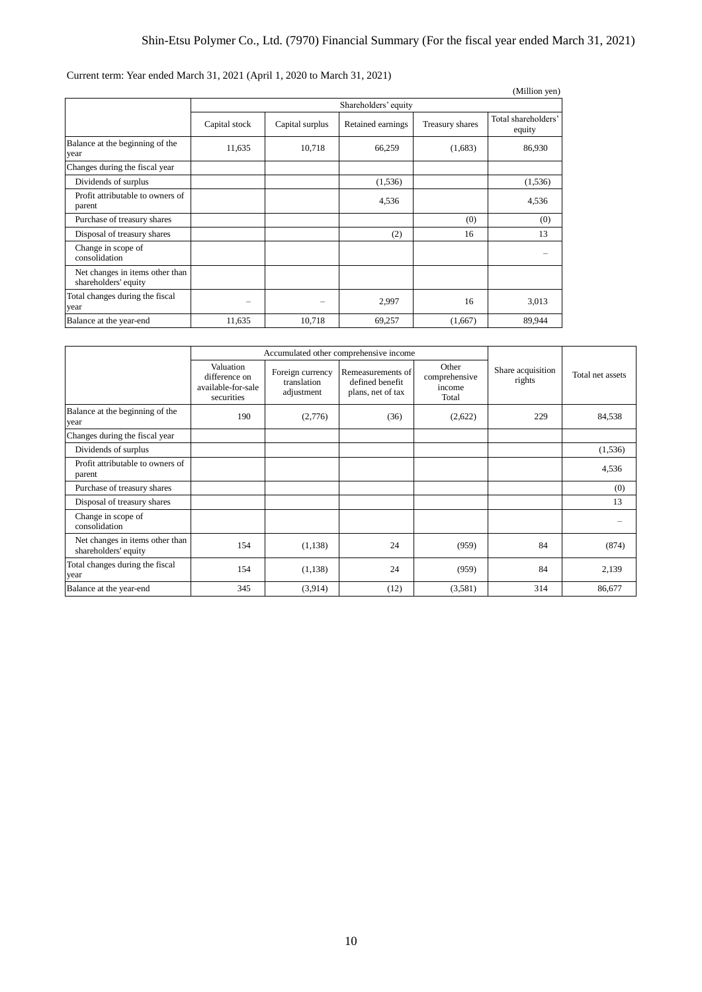Current term: Year ended March 31, 2021 (April 1, 2020 to March 31, 2021)

|                                                         |               |                      |                   |                 | (Million yen)                 |  |  |
|---------------------------------------------------------|---------------|----------------------|-------------------|-----------------|-------------------------------|--|--|
|                                                         |               | Shareholders' equity |                   |                 |                               |  |  |
|                                                         | Capital stock | Capital surplus      | Retained earnings | Treasury shares | Total shareholders'<br>equity |  |  |
| Balance at the beginning of the<br>year                 | 11,635        | 10,718               | 66,259            | (1,683)         | 86,930                        |  |  |
| Changes during the fiscal year                          |               |                      |                   |                 |                               |  |  |
| Dividends of surplus                                    |               |                      | (1,536)           |                 | (1,536)                       |  |  |
| Profit attributable to owners of<br>parent              |               |                      | 4,536             |                 | 4,536                         |  |  |
| Purchase of treasury shares                             |               |                      |                   | (0)             | (0)                           |  |  |
| Disposal of treasury shares                             |               |                      | (2)               | 16              | 13                            |  |  |
| Change in scope of<br>consolidation                     |               |                      |                   |                 |                               |  |  |
| Net changes in items other than<br>shareholders' equity |               |                      |                   |                 |                               |  |  |
| Total changes during the fiscal<br>year                 |               |                      | 2,997             | 16              | 3,013                         |  |  |
| Balance at the year-end                                 | 11,635        | 10,718               | 69,257            | (1,667)         | 89,944                        |  |  |

|                                                         | Accumulated other comprehensive income                         |                                               |                                                           |                                           |                             |                  |
|---------------------------------------------------------|----------------------------------------------------------------|-----------------------------------------------|-----------------------------------------------------------|-------------------------------------------|-----------------------------|------------------|
|                                                         | Valuation<br>difference on<br>available-for-sale<br>securities | Foreign currency<br>translation<br>adjustment | Remeasurements of<br>defined benefit<br>plans, net of tax | Other<br>comprehensive<br>income<br>Total | Share acquisition<br>rights | Total net assets |
| Balance at the beginning of the<br>year                 | 190                                                            | (2,776)                                       | (36)                                                      | (2,622)                                   | 229                         | 84,538           |
| Changes during the fiscal year                          |                                                                |                                               |                                                           |                                           |                             |                  |
| Dividends of surplus                                    |                                                                |                                               |                                                           |                                           |                             | (1,536)          |
| Profit attributable to owners of<br>parent              |                                                                |                                               |                                                           |                                           |                             | 4,536            |
| Purchase of treasury shares                             |                                                                |                                               |                                                           |                                           |                             | (0)              |
| Disposal of treasury shares                             |                                                                |                                               |                                                           |                                           |                             | 13               |
| Change in scope of<br>consolidation                     |                                                                |                                               |                                                           |                                           |                             |                  |
| Net changes in items other than<br>shareholders' equity | 154                                                            | (1,138)                                       | 24                                                        | (959)                                     | 84                          | (874)            |
| Total changes during the fiscal<br>year                 | 154                                                            | (1,138)                                       | 24                                                        | (959)                                     | 84                          | 2,139            |
| Balance at the year-end                                 | 345                                                            | (3,914)                                       | (12)                                                      | (3,581)                                   | 314                         | 86,677           |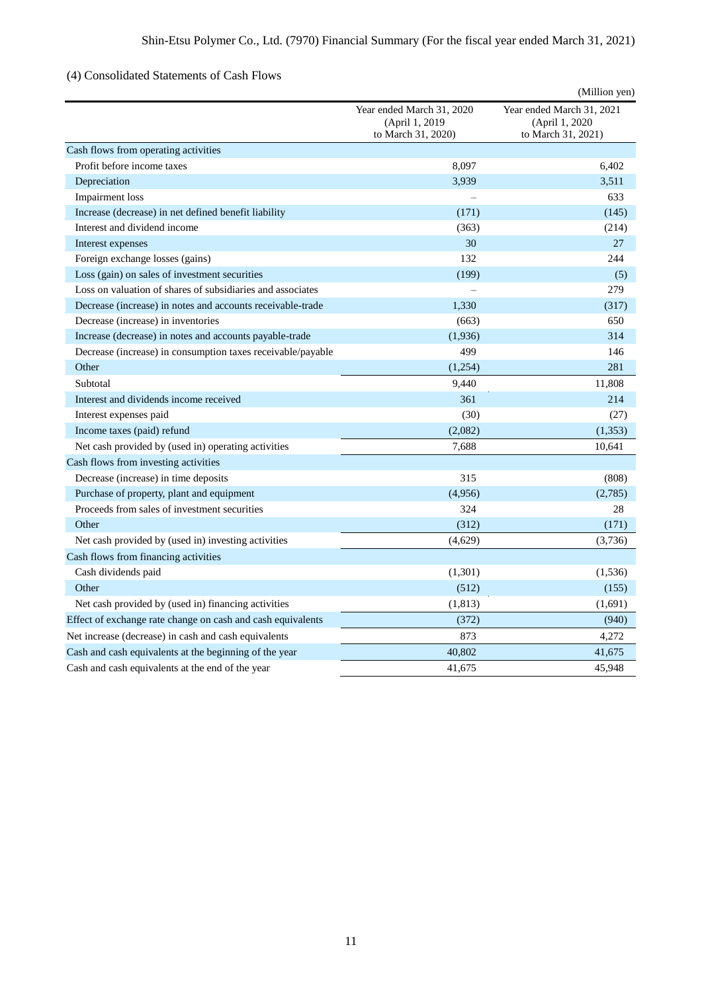# (4) Consolidated Statements of Cash Flows

|                                                             |                                                                    | (Million yen)                                                     |
|-------------------------------------------------------------|--------------------------------------------------------------------|-------------------------------------------------------------------|
|                                                             | Year ended March 31, 2020<br>(April 1, 2019)<br>to March 31, 2020) | Year ended March 31, 2021<br>(April 1, 2020<br>to March 31, 2021) |
| Cash flows from operating activities                        |                                                                    |                                                                   |
| Profit before income taxes                                  | 8,097                                                              | 6,402                                                             |
| Depreciation                                                | 3,939                                                              | 3,511                                                             |
| Impairment loss                                             |                                                                    | 633                                                               |
| Increase (decrease) in net defined benefit liability        | (171)                                                              | (145)                                                             |
| Interest and dividend income                                | (363)                                                              | (214)                                                             |
| Interest expenses                                           | 30                                                                 | 27                                                                |
| Foreign exchange losses (gains)                             | 132                                                                | 244                                                               |
| Loss (gain) on sales of investment securities               | (199)                                                              | (5)                                                               |
| Loss on valuation of shares of subsidiaries and associates  | $\overline{\phantom{0}}$                                           | 279                                                               |
| Decrease (increase) in notes and accounts receivable-trade  | 1,330                                                              | (317)                                                             |
| Decrease (increase) in inventories                          | (663)                                                              | 650                                                               |
| Increase (decrease) in notes and accounts payable-trade     | (1,936)                                                            | 314                                                               |
| Decrease (increase) in consumption taxes receivable/payable | 499                                                                | 146                                                               |
| Other                                                       | (1,254)                                                            | 281                                                               |
| Subtotal                                                    | 9,440                                                              | 11,808                                                            |
| Interest and dividends income received                      | 361                                                                | 214                                                               |
| Interest expenses paid                                      | (30)                                                               | (27)                                                              |
| Income taxes (paid) refund                                  | (2,082)                                                            | (1, 353)                                                          |
| Net cash provided by (used in) operating activities         | 7.688                                                              | 10,641                                                            |
| Cash flows from investing activities                        |                                                                    |                                                                   |
| Decrease (increase) in time deposits                        | 315                                                                | (808)                                                             |
| Purchase of property, plant and equipment                   | (4,956)                                                            | (2,785)                                                           |
| Proceeds from sales of investment securities                | 324                                                                | 28                                                                |
| Other                                                       | (312)                                                              | (171)                                                             |
| Net cash provided by (used in) investing activities         | (4,629)                                                            | (3,736)                                                           |
| Cash flows from financing activities                        |                                                                    |                                                                   |
| Cash dividends paid                                         | (1,301)                                                            | (1,536)                                                           |
| Other                                                       | (512)                                                              | (155)                                                             |
| Net cash provided by (used in) financing activities         | (1, 813)                                                           | (1,691)                                                           |
| Effect of exchange rate change on cash and cash equivalents | (372)                                                              | (940)                                                             |
| Net increase (decrease) in cash and cash equivalents        | 873                                                                | 4,272                                                             |
| Cash and cash equivalents at the beginning of the year      | 40,802                                                             | 41,675                                                            |
| Cash and cash equivalents at the end of the year            | 41,675                                                             | 45,948                                                            |